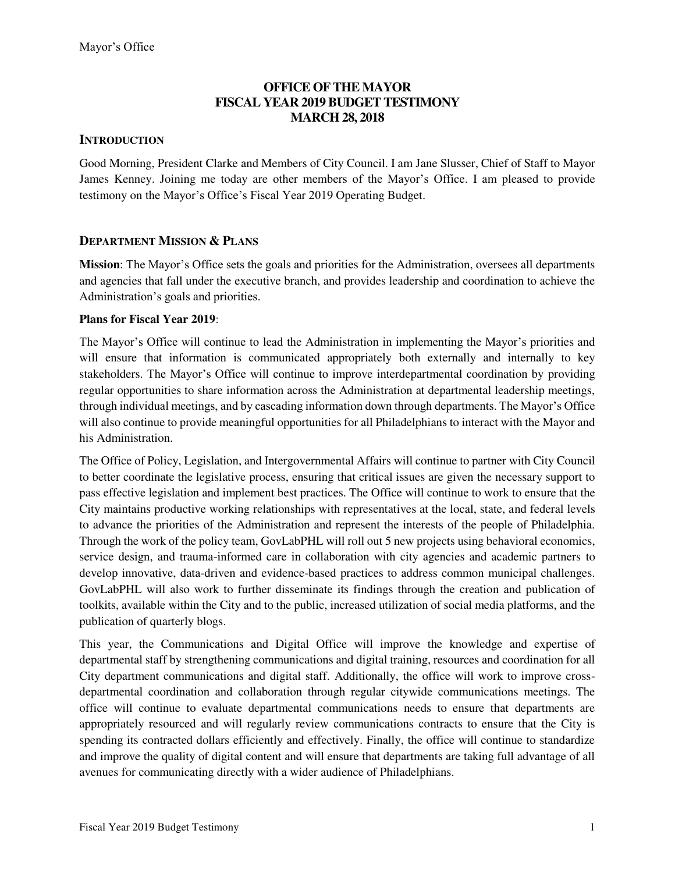## **OFFICE OF THE MAYOR FISCAL YEAR 2019 BUDGET TESTIMONY MARCH 28, 2018**

## **INTRODUCTION**

Good Morning, President Clarke and Members of City Council. I am Jane Slusser, Chief of Staff to Mayor James Kenney. Joining me today are other members of the Mayor's Office. I am pleased to provide testimony on the Mayor's Office's Fiscal Year 2019 Operating Budget.

## **DEPARTMENT MISSION & PLANS**

**Mission**: The Mayor's Office sets the goals and priorities for the Administration, oversees all departments and agencies that fall under the executive branch, and provides leadership and coordination to achieve the Administration's goals and priorities.

### **Plans for Fiscal Year 2019**:

The Mayor's Office will continue to lead the Administration in implementing the Mayor's priorities and will ensure that information is communicated appropriately both externally and internally to key stakeholders. The Mayor's Office will continue to improve interdepartmental coordination by providing regular opportunities to share information across the Administration at departmental leadership meetings, through individual meetings, and by cascading information down through departments. The Mayor's Office will also continue to provide meaningful opportunities for all Philadelphians to interact with the Mayor and his Administration.

The Office of Policy, Legislation, and Intergovernmental Affairs will continue to partner with City Council to better coordinate the legislative process, ensuring that critical issues are given the necessary support to pass effective legislation and implement best practices. The Office will continue to work to ensure that the City maintains productive working relationships with representatives at the local, state, and federal levels to advance the priorities of the Administration and represent the interests of the people of Philadelphia. Through the work of the policy team, GovLabPHL will roll out 5 new projects using behavioral economics, service design, and trauma-informed care in collaboration with city agencies and academic partners to develop innovative, data-driven and evidence-based practices to address common municipal challenges. GovLabPHL will also work to further disseminate its findings through the creation and publication of toolkits, available within the City and to the public, increased utilization of social media platforms, and the publication of quarterly blogs.

This year, the Communications and Digital Office will improve the knowledge and expertise of departmental staff by strengthening communications and digital training, resources and coordination for all City department communications and digital staff. Additionally, the office will work to improve crossdepartmental coordination and collaboration through regular citywide communications meetings. The office will continue to evaluate departmental communications needs to ensure that departments are appropriately resourced and will regularly review communications contracts to ensure that the City is spending its contracted dollars efficiently and effectively. Finally, the office will continue to standardize and improve the quality of digital content and will ensure that departments are taking full advantage of all avenues for communicating directly with a wider audience of Philadelphians.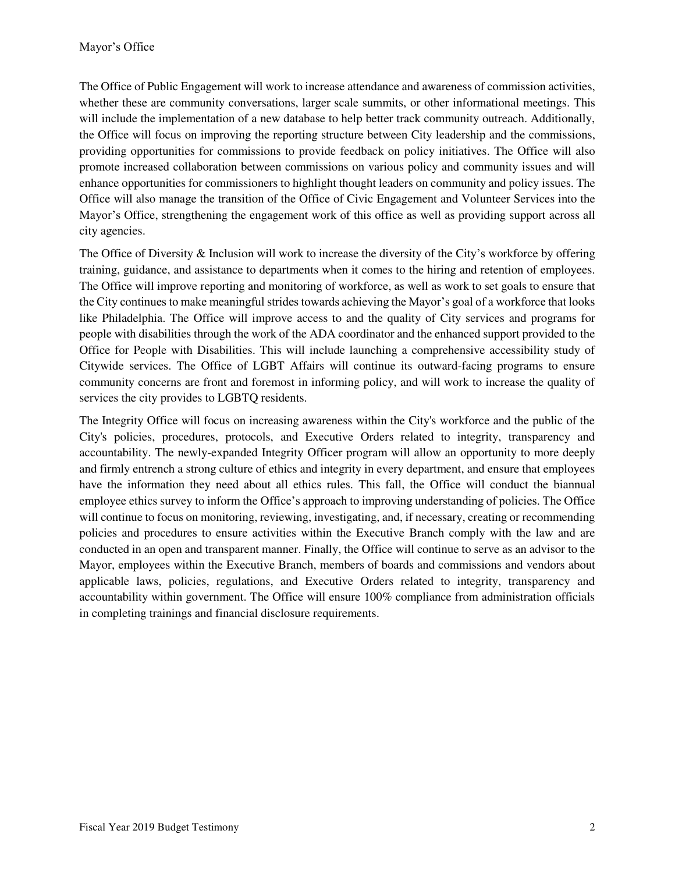The Office of Public Engagement will work to increase attendance and awareness of commission activities, whether these are community conversations, larger scale summits, or other informational meetings. This will include the implementation of a new database to help better track community outreach. Additionally, the Office will focus on improving the reporting structure between City leadership and the commissions, providing opportunities for commissions to provide feedback on policy initiatives. The Office will also promote increased collaboration between commissions on various policy and community issues and will enhance opportunities for commissioners to highlight thought leaders on community and policy issues. The Office will also manage the transition of the Office of Civic Engagement and Volunteer Services into the Mayor's Office, strengthening the engagement work of this office as well as providing support across all city agencies.

The Office of Diversity & Inclusion will work to increase the diversity of the City's workforce by offering training, guidance, and assistance to departments when it comes to the hiring and retention of employees. The Office will improve reporting and monitoring of workforce, as well as work to set goals to ensure that the City continues to make meaningful strides towards achieving the Mayor's goal of a workforce that looks like Philadelphia. The Office will improve access to and the quality of City services and programs for people with disabilities through the work of the ADA coordinator and the enhanced support provided to the Office for People with Disabilities. This will include launching a comprehensive accessibility study of Citywide services. The Office of LGBT Affairs will continue its outward-facing programs to ensure community concerns are front and foremost in informing policy, and will work to increase the quality of services the city provides to LGBTQ residents.

The Integrity Office will focus on increasing awareness within the City's workforce and the public of the City's policies, procedures, protocols, and Executive Orders related to integrity, transparency and accountability. The newly-expanded Integrity Officer program will allow an opportunity to more deeply and firmly entrench a strong culture of ethics and integrity in every department, and ensure that employees have the information they need about all ethics rules. This fall, the Office will conduct the biannual employee ethics survey to inform the Office's approach to improving understanding of policies. The Office will continue to focus on monitoring, reviewing, investigating, and, if necessary, creating or recommending policies and procedures to ensure activities within the Executive Branch comply with the law and are conducted in an open and transparent manner. Finally, the Office will continue to serve as an advisor to the Mayor, employees within the Executive Branch, members of boards and commissions and vendors about applicable laws, policies, regulations, and Executive Orders related to integrity, transparency and accountability within government. The Office will ensure 100% compliance from administration officials in completing trainings and financial disclosure requirements.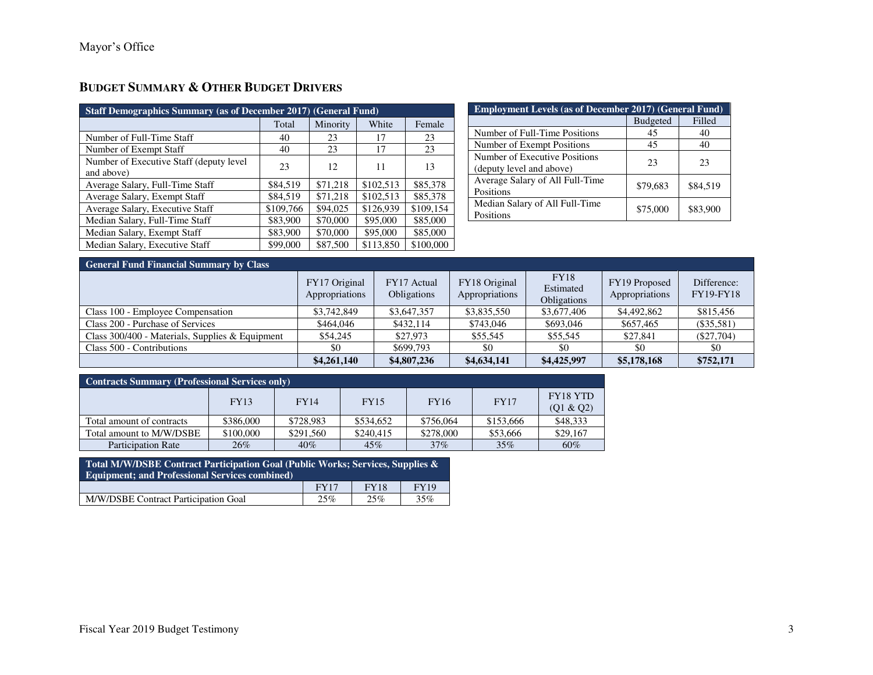# **BUDGET SUMMARY & OTHER BUDGET DRIVERS**

| <b>Staff Demographics Summary (as of December 2017) (General Fund)</b> |           |          |           |           |
|------------------------------------------------------------------------|-----------|----------|-----------|-----------|
|                                                                        | Total     | Minority | White     | Female    |
| Number of Full-Time Staff                                              | 40        | 23       | 17        | 23        |
| Number of Exempt Staff                                                 | 40        | 23       | 17        | 23        |
| Number of Executive Staff (deputy level)<br>and above)                 | 23        | 12       | 11        | 13        |
| Average Salary, Full-Time Staff                                        | \$84,519  | \$71,218 | \$102.513 | \$85,378  |
| Average Salary, Exempt Staff                                           | \$84,519  | \$71,218 | \$102.513 | \$85,378  |
| Average Salary, Executive Staff                                        | \$109,766 | \$94,025 | \$126.939 | \$109.154 |
| Median Salary, Full-Time Staff                                         | \$83,900  | \$70,000 | \$95,000  | \$85,000  |
| Median Salary, Exempt Staff                                            | \$83,900  | \$70,000 | \$95,000  | \$85,000  |
| Median Salary, Executive Staff                                         | \$99,000  | \$87,500 | \$113,850 | \$100,000 |

| <b>Employment Levels (as of December 2017) (General Fund)</b> |                 |          |  |
|---------------------------------------------------------------|-----------------|----------|--|
|                                                               | <b>Budgeted</b> | Filled   |  |
| Number of Full-Time Positions                                 | 45              | 40       |  |
| Number of Exempt Positions                                    | 45              | 40       |  |
| Number of Executive Positions<br>(deputy level and above)     | 23              | 23       |  |
| Average Salary of All Full-Time<br>Positions                  | \$79,683        | \$84,519 |  |
| Median Salary of All Full-Time<br>Positions                   | \$75,000        | \$83,900 |  |

| <b>General Fund Financial Summary by Class</b>  |                                 |                                   |                                 |                                                |                                 |                                 |
|-------------------------------------------------|---------------------------------|-----------------------------------|---------------------------------|------------------------------------------------|---------------------------------|---------------------------------|
|                                                 | FY17 Original<br>Appropriations | FY17 Actual<br><b>Obligations</b> | FY18 Original<br>Appropriations | <b>FY18</b><br>Estimated<br><b>Obligations</b> | FY19 Proposed<br>Appropriations | Difference:<br><b>FY19-FY18</b> |
| Class 100 - Employee Compensation               | \$3,742,849                     | \$3,647,357                       | \$3,835,550                     | \$3,677,406                                    | \$4,492,862                     | \$815,456                       |
| Class 200 - Purchase of Services                | \$464,046                       | \$432,114                         | \$743,046                       | \$693,046                                      | \$657,465                       | $(\$35,581)$                    |
| Class 300/400 - Materials, Supplies & Equipment | \$54,245                        | \$27,973                          | \$55,545                        | \$55,545                                       | \$27,841                        | $(\$27,704)$                    |
| Class 500 - Contributions                       | \$0                             | \$699,793                         | \$0                             | \$0                                            | \$0                             | \$0                             |
|                                                 | \$4,261,140                     | \$4,807,236                       | \$4,634,141                     | \$4,425,997                                    | \$5,178,168                     | \$752,171                       |

| <b>Contracts Summary (Professional Services only)</b> |             |             |             |             |             |                       |
|-------------------------------------------------------|-------------|-------------|-------------|-------------|-------------|-----------------------|
|                                                       | <b>FY13</b> | <b>FY14</b> | <b>FY15</b> | <b>FY16</b> | <b>FY17</b> | FY18 YTD<br>(Q1 & Q2) |
| Total amount of contracts                             | \$386,000   | \$728,983   | \$534,652   | \$756,064   | \$153,666   | \$48,333              |
| Total amount to M/W/DSBE                              | \$100,000   | \$291.560   | \$240,415   | \$278,000   | \$53,666    | \$29,167              |
| <b>Participation Rate</b>                             | 26%         | 40%         | 45%         | 37%         | 35%         | 60%                   |

| Total M/W/DSBE Contract Participation Goal (Public Works; Services, Supplies &<br><b>Equipment: and Professional Services combined)</b> |             |             |             |
|-----------------------------------------------------------------------------------------------------------------------------------------|-------------|-------------|-------------|
|                                                                                                                                         | <b>FY17</b> | <b>FY18</b> | <b>FY19</b> |
| M/W/DSBE Contract Participation Goal                                                                                                    | 25%         | 25%         | 35%         |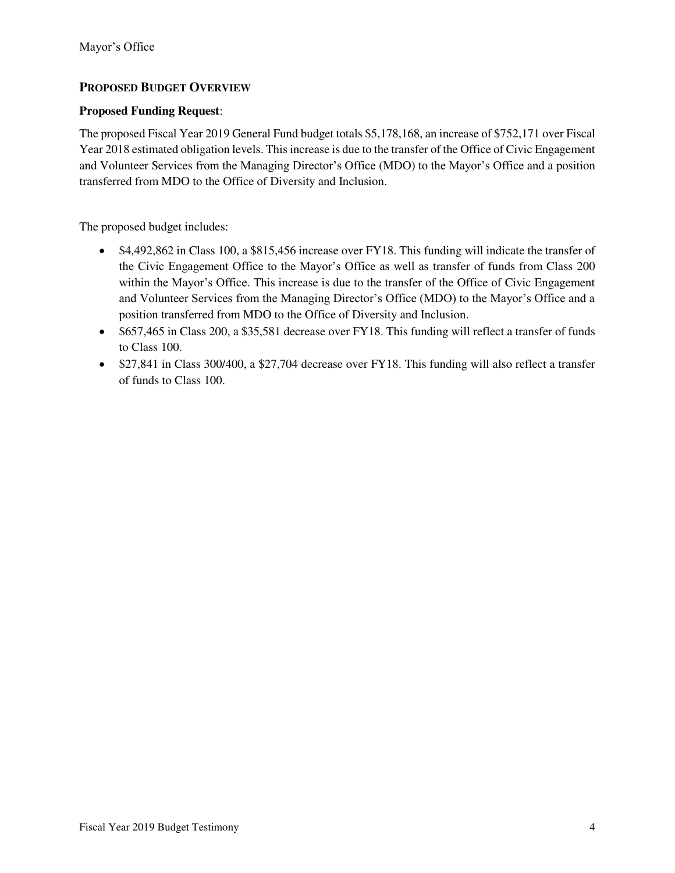## **PROPOSED BUDGET OVERVIEW**

## **Proposed Funding Request**:

The proposed Fiscal Year 2019 General Fund budget totals \$5,178,168, an increase of \$752,171 over Fiscal Year 2018 estimated obligation levels. This increase is due to the transfer of the Office of Civic Engagement and Volunteer Services from the Managing Director's Office (MDO) to the Mayor's Office and a position transferred from MDO to the Office of Diversity and Inclusion.

The proposed budget includes:

- \$4,492,862 in Class 100, a \$815,456 increase over FY18. This funding will indicate the transfer of the Civic Engagement Office to the Mayor's Office as well as transfer of funds from Class 200 within the Mayor's Office. This increase is due to the transfer of the Office of Civic Engagement and Volunteer Services from the Managing Director's Office (MDO) to the Mayor's Office and a position transferred from MDO to the Office of Diversity and Inclusion.
- \$657,465 in Class 200, a \$35,581 decrease over FY18. This funding will reflect a transfer of funds to Class 100.
- \$27,841 in Class 300/400, a \$27,704 decrease over FY18. This funding will also reflect a transfer of funds to Class 100.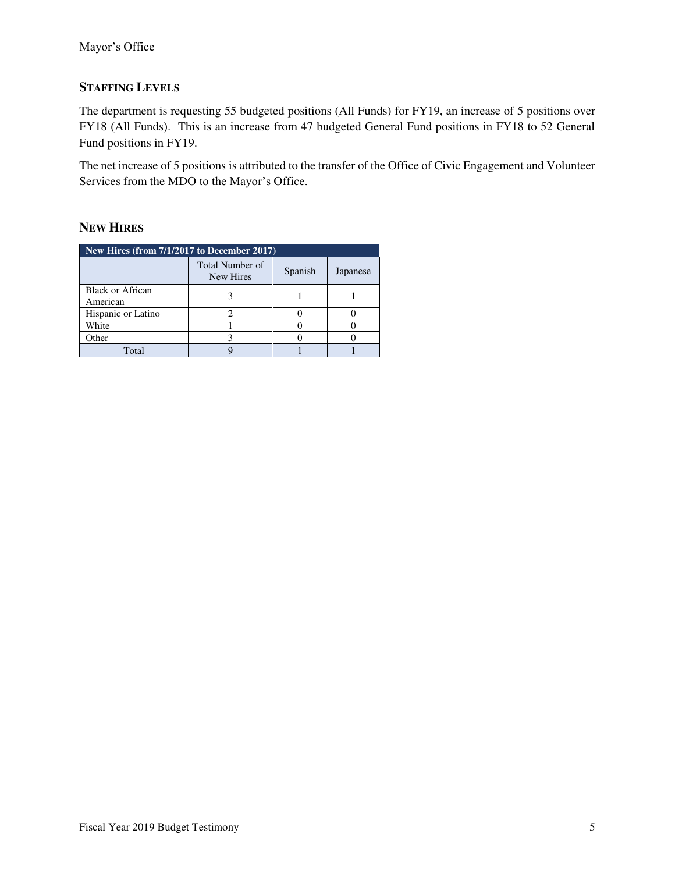## **STAFFING LEVELS**

The department is requesting 55 budgeted positions (All Funds) for FY19, an increase of 5 positions over FY18 (All Funds). This is an increase from 47 budgeted General Fund positions in FY18 to 52 General Fund positions in FY19.

The net increase of 5 positions is attributed to the transfer of the Office of Civic Engagement and Volunteer Services from the MDO to the Mayor's Office.

## **NEW HIRES**

| New Hires (from 7/1/2017 to December 2017) |                                     |         |          |  |
|--------------------------------------------|-------------------------------------|---------|----------|--|
|                                            | <b>Total Number of</b><br>New Hires | Spanish | Japanese |  |
| <b>Black or African</b><br>American        |                                     |         |          |  |
| Hispanic or Latino                         |                                     |         |          |  |
| White                                      |                                     |         |          |  |
| Other                                      |                                     |         |          |  |
| Total                                      |                                     |         |          |  |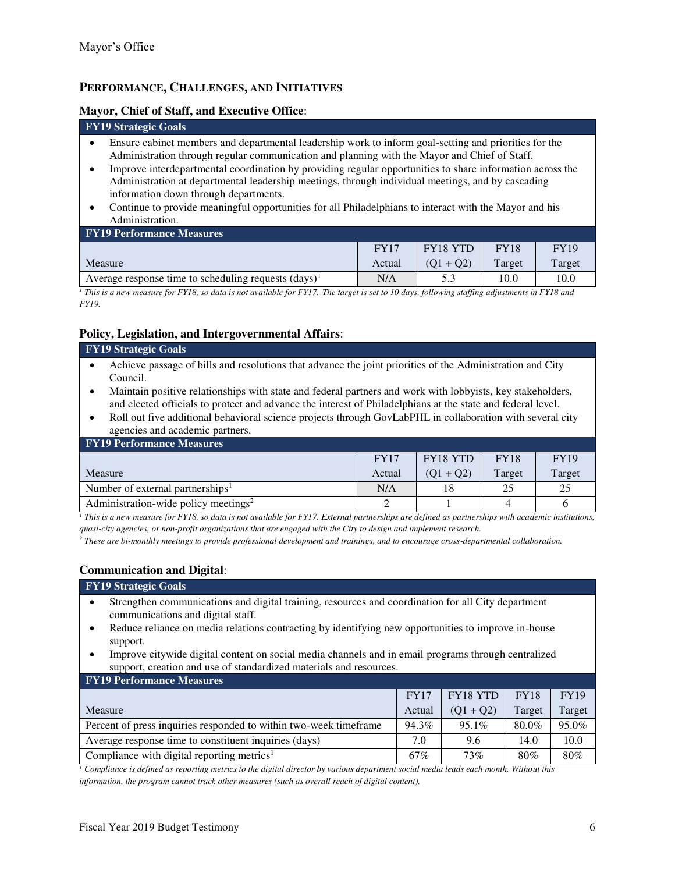## **PERFORMANCE, CHALLENGES, AND INITIATIVES**

#### **Mayor, Chief of Staff, and Executive Office**:

#### **FY19 Strategic Goals**

- Ensure cabinet members and departmental leadership work to inform goal-setting and priorities for the Administration through regular communication and planning with the Mayor and Chief of Staff.
- Improve interdepartmental coordination by providing regular opportunities to share information across the Administration at departmental leadership meetings, through individual meetings, and by cascading information down through departments.
- Continue to provide meaningful opportunities for all Philadelphians to interact with the Mayor and his Administration.

| <b>FY17</b> | FY18 YTD    | <b>FY18</b> | <b>FY19</b> |
|-------------|-------------|-------------|-------------|
| Actual      | $(01 + 02)$ | Target      | Target      |
| N/A         |             | 10.0        | 10.0        |
|             |             |             |             |

*1 This is a new measure for FY18, so data is not available for FY17. The target is set to 10 days, following staffing adjustments in FY18 and FY19.*

## **Policy, Legislation, and Intergovernmental Affairs**:

#### **FY19 Strategic Goals**

- Achieve passage of bills and resolutions that advance the joint priorities of the Administration and City Council.
- Maintain positive relationships with state and federal partners and work with lobbyists, key stakeholders, and elected officials to protect and advance the interest of Philadelphians at the state and federal level.
- Roll out five additional behavioral science projects through GovLabPHL in collaboration with several city agencies and academic partners.

| <b>FY19 Performance Measures</b>                 |             |                 |             |             |
|--------------------------------------------------|-------------|-----------------|-------------|-------------|
|                                                  | <b>FY17</b> | <b>FY18 YTD</b> | <b>FY18</b> | <b>FY19</b> |
| Measure                                          | Actual      | $(01 + 02)$     | Target      | Target      |
| Number of external partnerships <sup>1</sup>     | N/A         | 18              | 25          | 25          |
| Administration-wide policy meetings <sup>2</sup> |             |                 |             |             |

*1 This is a new measure for FY18, so data is not available for FY17. External partnerships are defined as partnerships with academic institutions, quasi-city agencies, or non-profit organizations that are engaged with the City to design and implement research.* 

*2 These are bi-monthly meetings to provide professional development and trainings, and to encourage cross-departmental collaboration.*

### **Communication and Digital**:

#### **FY19 Strategic Goals**

- Strengthen communications and digital training, resources and coordination for all City department communications and digital staff.
- Reduce reliance on media relations contracting by identifying new opportunities to improve in-house support.
- Improve citywide digital content on social media channels and in email programs through centralized support, creation and use of standardized materials and resources.

### **FY19 Performance Measures**

|                                                                    | <b>FY17</b> | FY18 YTD    | <b>FY18</b> | <b>FY19</b> |
|--------------------------------------------------------------------|-------------|-------------|-------------|-------------|
| Measure                                                            | Actual      | $(O1 + O2)$ | Target      | Target      |
| Percent of press inquiries responded to within two-week time frame | 94.3%       | $95.1\%$    | 80.0%       | 95.0%       |
| Average response time to constituent inquiries (days)              | 7.0         | 9.6         | 14.0        | 10.0        |
| Compliance with digital reporting metrics <sup>1</sup>             | 67%         | 73%         | 80%         | 80%         |

*1 Compliance is defined as reporting metrics to the digital director by various department social media leads each month. Without this information, the program cannot track other measures (such as overall reach of digital content).*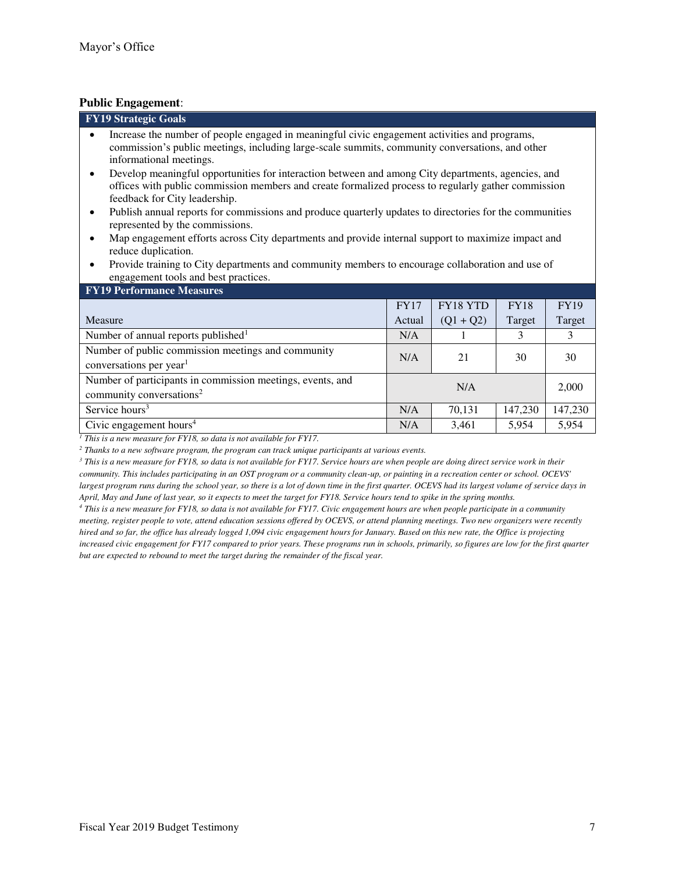## **Public Engagement**:

| т ирне енgаgещене.                                                                                                                                                                                                                                                                                                                                                                                                                                                                                                                                                                                                                                                                                                                                                                                       |             |             |             |             |
|----------------------------------------------------------------------------------------------------------------------------------------------------------------------------------------------------------------------------------------------------------------------------------------------------------------------------------------------------------------------------------------------------------------------------------------------------------------------------------------------------------------------------------------------------------------------------------------------------------------------------------------------------------------------------------------------------------------------------------------------------------------------------------------------------------|-------------|-------------|-------------|-------------|
| <b>FY19 Strategic Goals</b>                                                                                                                                                                                                                                                                                                                                                                                                                                                                                                                                                                                                                                                                                                                                                                              |             |             |             |             |
| Increase the number of people engaged in meaningful civic engagement activities and programs,<br>$\bullet$<br>commission's public meetings, including large-scale summits, community conversations, and other<br>informational meetings.<br>Develop meaningful opportunities for interaction between and among City departments, agencies, and<br>$\bullet$<br>offices with public commission members and create formalized process to regularly gather commission<br>feedback for City leadership.<br>Publish annual reports for commissions and produce quarterly updates to directories for the communities<br>$\bullet$<br>represented by the commissions.<br>Map engagement efforts across City departments and provide internal support to maximize impact and<br>$\bullet$<br>reduce duplication. |             |             |             |             |
| Provide training to City departments and community members to encourage collaboration and use of<br>$\bullet$<br>engagement tools and best practices.                                                                                                                                                                                                                                                                                                                                                                                                                                                                                                                                                                                                                                                    |             |             |             |             |
| <b>FY19 Performance Measures</b>                                                                                                                                                                                                                                                                                                                                                                                                                                                                                                                                                                                                                                                                                                                                                                         |             |             |             |             |
|                                                                                                                                                                                                                                                                                                                                                                                                                                                                                                                                                                                                                                                                                                                                                                                                          | <b>FY17</b> | FY18 YTD    | <b>FY18</b> | <b>FY19</b> |
| Measure                                                                                                                                                                                                                                                                                                                                                                                                                                                                                                                                                                                                                                                                                                                                                                                                  | Actual      | $(Q1 + Q2)$ | Target      | Target      |
| Number of annual reports published <sup>1</sup>                                                                                                                                                                                                                                                                                                                                                                                                                                                                                                                                                                                                                                                                                                                                                          | N/A         |             | 3           | 3           |
| Number of public commission meetings and community<br>conversations per year <sup>1</sup>                                                                                                                                                                                                                                                                                                                                                                                                                                                                                                                                                                                                                                                                                                                | N/A         | 21          | 30          | 30          |
| Number of participants in commission meetings, events, and                                                                                                                                                                                                                                                                                                                                                                                                                                                                                                                                                                                                                                                                                                                                               |             |             |             |             |

| <b>TELLET CHULMANCE MEASURES</b>                           |             |             |             |             |
|------------------------------------------------------------|-------------|-------------|-------------|-------------|
|                                                            | <b>FY17</b> | FY18 YTD    | <b>FY18</b> | <b>FY19</b> |
| <b>Measure</b>                                             | Actual      | $(Q1 + Q2)$ | Target      | Target      |
| Number of annual reports published <sup>1</sup>            | N/A         |             | 3           |             |
| Number of public commission meetings and community         | N/A         | 21          | 30          | 30          |
| conversations per year <sup>1</sup>                        |             |             |             |             |
| Number of participants in commission meetings, events, and | N/A         |             |             | 2,000       |
| community conversations <sup>2</sup>                       |             |             |             |             |
| Service hours <sup>3</sup>                                 | N/A         | 70,131      | 147,230     | 147,230     |
| Civic engagement hours <sup>4</sup>                        | N/A         | 3,461       | 5,954       | 5,954       |

<sup>1</sup> This is a new measure for FY18, so data is not available for FY17.

<sup>2</sup> Thanks to a new software program, the program can track unique participants at various events.

*3 This is a new measure for FY18, so data is not available for FY17. Service hours are when people are doing direct service work in their community. This includes participating in an OST program or a community clean-up, or painting in a recreation center or school. OCEVS' largest program runs during the school year, so there is a lot of down time in the first quarter. OCEVS had its largest volume of service days in April, May and June of last year, so it expects to meet the target for FY18. Service hours tend to spike in the spring months.* 

*4 This is a new measure for FY18, so data is not available for FY17. Civic engagement hours are when people participate in a community meeting, register people to vote, attend education sessions offered by OCEVS, or attend planning meetings. Two new organizers were recently hired and so far, the office has already logged 1,094 civic engagement hours for January. Based on this new rate, the Office is projecting increased civic engagement for FY17 compared to prior years. These programs run in schools, primarily, so figures are low for the first quarter but are expected to rebound to meet the target during the remainder of the fiscal year.*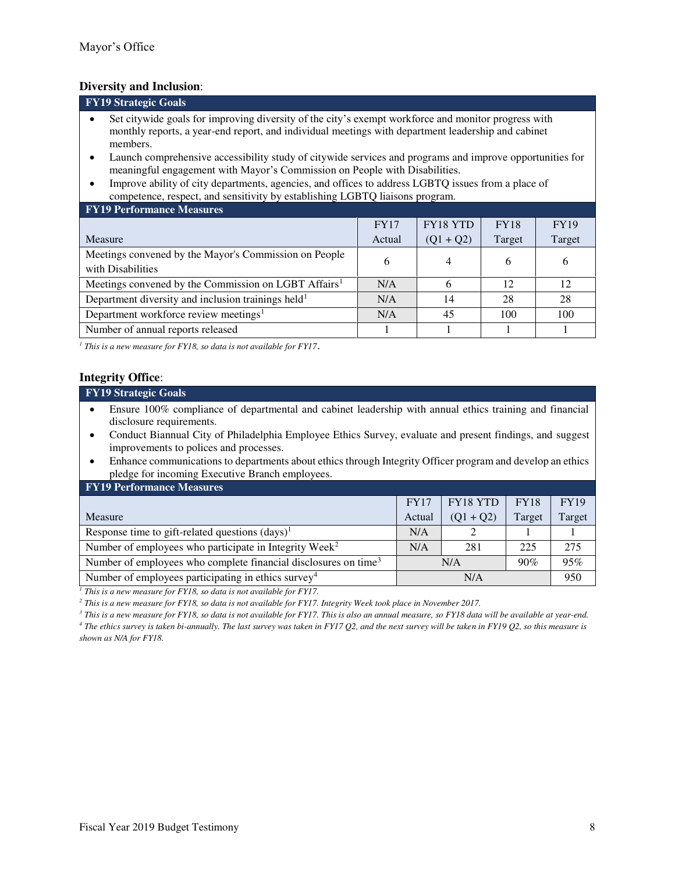### **Diversity and Inclusion**:

| <b>FY19 Strategic Goals</b>                                                                         |
|-----------------------------------------------------------------------------------------------------|
| Set citywide goals for improving diversity of the city's exempt workforce and monitor progress with |
| monthly reports, a year-end report, and individual meetings with department leadership and cabinet  |
| members.                                                                                            |

- Launch comprehensive accessibility study of citywide services and programs and improve opportunities for meaningful engagement with Mayor's Commission on People with Disabilities.
- Improve ability of city departments, agencies, and offices to address LGBTQ issues from a place of competence, respect, and sensitivity by establishing LGBTQ liaisons program.

#### **FY19 Performance Measures**

|                                                                            | FY17   | <b>FY18 YTD</b> | <b>FY18</b> | <b>FY19</b> |
|----------------------------------------------------------------------------|--------|-----------------|-------------|-------------|
| <b>Measure</b>                                                             | Actual | $(Q1 + Q2)$     | Target      | Target      |
| Meetings convened by the Mayor's Commission on People<br>with Disabilities | O      |                 | O           | b           |
| Meetings convened by the Commission on LGBT Affairs <sup>1</sup>           | N/A    |                 | 12          | 12          |
| Department diversity and inclusion trainings held <sup>1</sup>             | N/A    | 14              | 28          | 28          |
| Department workforce review meetings <sup>1</sup>                          | N/A    | 45              | 100         | 100         |
| Number of annual reports released                                          |        |                 |             |             |

<sup>1</sup> This is a new measure for FY18, so data is not available for FY17.

### **Integrity Office**:

#### **FY19 Strategic Goals**

- Ensure 100% compliance of departmental and cabinet leadership with annual ethics training and financial disclosure requirements.
- Conduct Biannual City of Philadelphia Employee Ethics Survey, evaluate and present findings, and suggest improvements to polices and processes.
- Enhance communications to departments about ethics through Integrity Officer program and develop an ethics pledge for incoming Executive Branch employees.

| <b>FY19 Performance Measures</b>                                            |             |                 |             |             |  |  |  |  |
|-----------------------------------------------------------------------------|-------------|-----------------|-------------|-------------|--|--|--|--|
|                                                                             | <b>FY17</b> | <b>FY18 YTD</b> | <b>FY18</b> | <b>FY19</b> |  |  |  |  |
| Measure                                                                     | Actual      | $(Q1 + Q2)$     | Target      | Target      |  |  |  |  |
| Response time to gift-related questions $(days)^1$                          | N/A         |                 |             |             |  |  |  |  |
| Number of employees who participate in Integrity Week <sup>2</sup>          | N/A         | 281             | 225         | 275         |  |  |  |  |
| Number of employees who complete financial disclosures on time <sup>3</sup> | 90%<br>N/A  |                 | 95%         |             |  |  |  |  |
| Number of employees participating in ethics survey <sup>4</sup>             | N/A         |                 |             | 950         |  |  |  |  |

<sup>1</sup> This is a new measure for FY18, so data is not available for FY17.

*2 This is a new measure for FY18, so data is not available for FY17. Integrity Week took place in November 2017.* 

*3 This is a new measure for FY18, so data is not available for FY17. This is also an annual measure, so FY18 data will be available at year-end.* 

*4 The ethics survey is taken bi-annually. The last survey was taken in FY17 Q2, and the next survey will be taken in FY19 Q2, so this measure is shown as N/A for FY18.*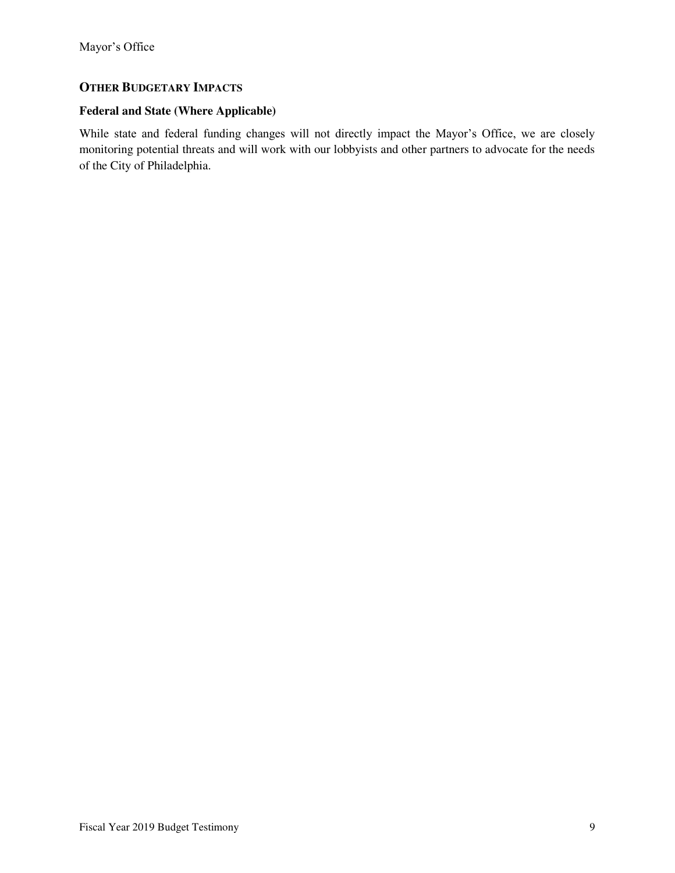## **OTHER BUDGETARY IMPACTS**

## **Federal and State (Where Applicable)**

While state and federal funding changes will not directly impact the Mayor's Office, we are closely monitoring potential threats and will work with our lobbyists and other partners to advocate for the needs of the City of Philadelphia.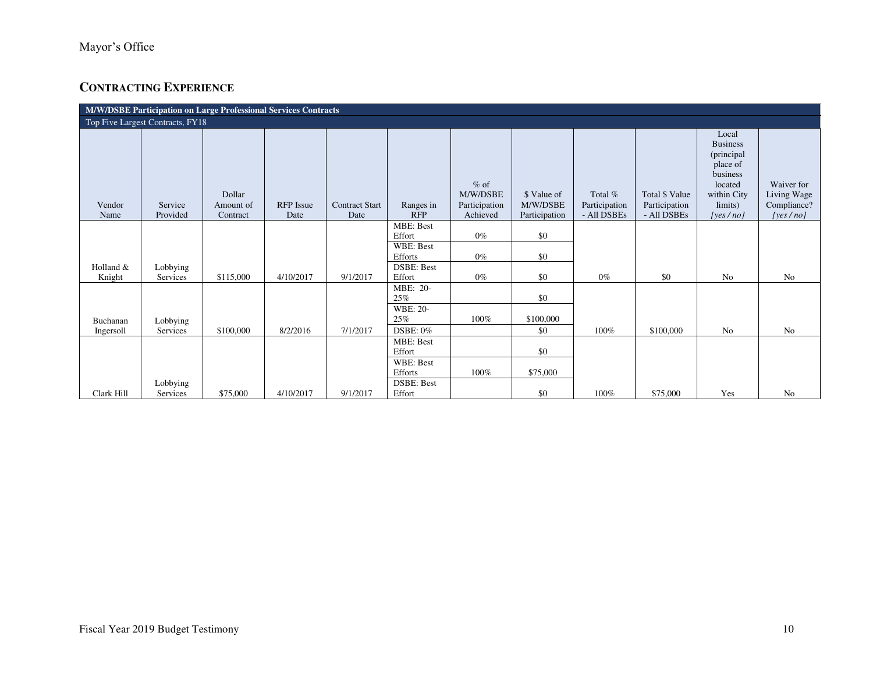# **CONTRACTING EXPERIENCE**

| M/W/DSBE Participation on Large Professional Services Contracts |                     |                                 |                          |                               |                         |                                                 |                                          |                                         |                                                |                                                                                                                      |                                                          |
|-----------------------------------------------------------------|---------------------|---------------------------------|--------------------------|-------------------------------|-------------------------|-------------------------------------------------|------------------------------------------|-----------------------------------------|------------------------------------------------|----------------------------------------------------------------------------------------------------------------------|----------------------------------------------------------|
| Top Five Largest Contracts, FY18                                |                     |                                 |                          |                               |                         |                                                 |                                          |                                         |                                                |                                                                                                                      |                                                          |
| Vendor<br>Name                                                  | Service<br>Provided | Dollar<br>Amount of<br>Contract | <b>RFP</b> Issue<br>Date | <b>Contract Start</b><br>Date | Ranges in<br><b>RFP</b> | $%$ of<br>M/W/DSBE<br>Participation<br>Achieved | \$ Value of<br>M/W/DSBE<br>Participation | Total %<br>Participation<br>- All DSBEs | Total \$ Value<br>Participation<br>- All DSBEs | Local<br><b>Business</b><br>(principal)<br>place of<br>business<br>located<br>within City<br>limits)<br>[yes $/$ no] | Waiver for<br>Living Wage<br>Compliance?<br>[yes $/no$ ] |
|                                                                 |                     |                                 |                          |                               | <b>MBE: Best</b>        |                                                 |                                          |                                         |                                                |                                                                                                                      |                                                          |
|                                                                 |                     |                                 |                          |                               | Effort                  | $0\%$                                           | \$0                                      |                                         |                                                |                                                                                                                      |                                                          |
|                                                                 |                     |                                 |                          |                               | WBE: Best               |                                                 |                                          |                                         |                                                |                                                                                                                      |                                                          |
|                                                                 |                     |                                 |                          |                               | Efforts                 | $0\%$                                           | \$0                                      |                                         |                                                |                                                                                                                      |                                                          |
| Holland &                                                       | Lobbying            |                                 |                          |                               | <b>DSBE: Best</b>       |                                                 |                                          |                                         |                                                |                                                                                                                      |                                                          |
| Knight                                                          | Services            | \$115,000                       | 4/10/2017                | 9/1/2017                      | Effort                  | $0\%$                                           | \$0                                      | $0\%$                                   | \$0                                            | No                                                                                                                   | No                                                       |
|                                                                 |                     |                                 |                          |                               | MBE: 20-<br>25%         |                                                 | \$0                                      |                                         |                                                |                                                                                                                      |                                                          |
|                                                                 |                     |                                 |                          |                               | WBE: 20-                |                                                 |                                          |                                         |                                                |                                                                                                                      |                                                          |
| Buchanan                                                        | Lobbying            |                                 |                          |                               | 25%                     | 100%                                            | \$100,000                                |                                         |                                                |                                                                                                                      |                                                          |
| Ingersoll                                                       | Services            | \$100,000                       | 8/2/2016                 | 7/1/2017                      | DSBE: 0%                |                                                 | \$0                                      | 100%                                    | \$100,000                                      | No                                                                                                                   | No                                                       |
|                                                                 |                     |                                 |                          |                               | <b>MBE: Best</b>        |                                                 |                                          |                                         |                                                |                                                                                                                      |                                                          |
|                                                                 |                     |                                 |                          |                               | Effort                  |                                                 | \$0                                      |                                         |                                                |                                                                                                                      |                                                          |
|                                                                 |                     |                                 |                          |                               | WBE: Best               |                                                 |                                          |                                         |                                                |                                                                                                                      |                                                          |
|                                                                 |                     |                                 |                          |                               | Efforts                 | 100%                                            | \$75,000                                 |                                         |                                                |                                                                                                                      |                                                          |
|                                                                 | Lobbying            |                                 |                          |                               | <b>DSBE: Best</b>       |                                                 |                                          |                                         |                                                |                                                                                                                      |                                                          |
| Clark Hill                                                      | Services            | \$75,000                        | 4/10/2017                | 9/1/2017                      | Effort                  |                                                 | \$0                                      | 100%                                    | \$75,000                                       | Yes                                                                                                                  | No                                                       |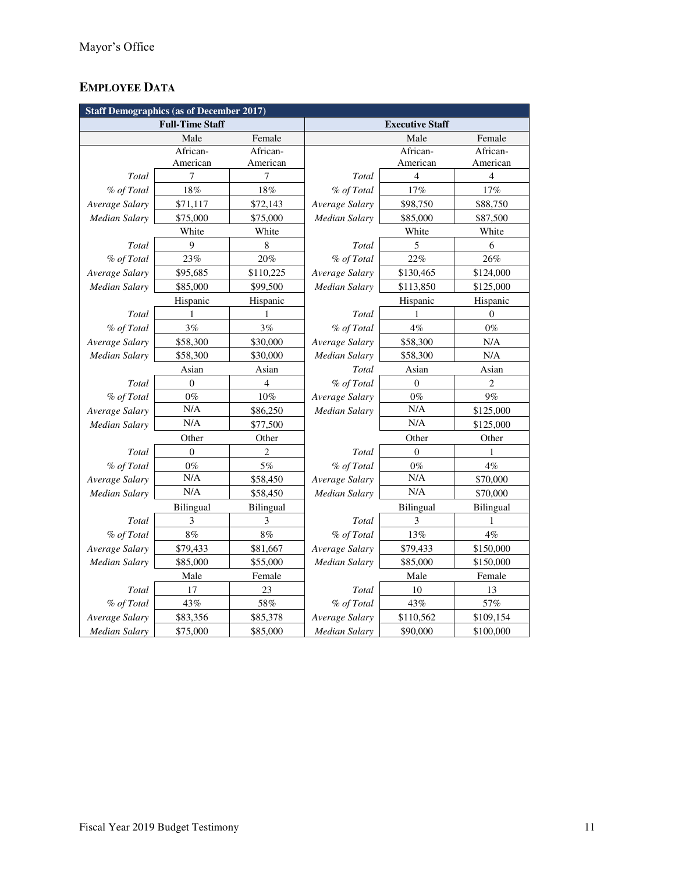# **EMPLOYEE DATA**

| <b>Staff Demographics (as of December 2017)</b> |                        |                  |                             |                        |           |  |  |
|-------------------------------------------------|------------------------|------------------|-----------------------------|------------------------|-----------|--|--|
|                                                 | <b>Full-Time Staff</b> |                  |                             | <b>Executive Staff</b> |           |  |  |
| Female<br>Male                                  |                        |                  |                             | Male                   | Female    |  |  |
|                                                 | African-               | African-         |                             | African-               | African-  |  |  |
|                                                 | American               | American         |                             | American               | American  |  |  |
| <b>Total</b>                                    | 7                      | 7                | Total                       | $\overline{4}$         | 4         |  |  |
| % of Total                                      | 18%                    | 18%              | % of Total                  | 17%                    | 17%       |  |  |
| Average Salary                                  | \$71,117               | \$72,143         | Average Salary              | \$98,750               | \$88,750  |  |  |
| Median Salary                                   | \$75,000               | \$75,000         | Median Salary               | \$85,000               | \$87,500  |  |  |
|                                                 | White                  | White            |                             | White                  | White     |  |  |
| Total                                           | 9                      | $\,$ 8 $\,$      | Total                       | 5                      | 6         |  |  |
| % of Total                                      | 23%                    | 20%              | % of Total                  | 22%                    | 26%       |  |  |
| Average Salary                                  | \$95,685               | \$110,225        | Average Salary              | \$130,465              | \$124,000 |  |  |
| <b>Median Salary</b>                            | \$85,000               | \$99,500         | Median Salary               | \$113,850              | \$125,000 |  |  |
|                                                 | Hispanic               | Hispanic         |                             | Hispanic               | Hispanic  |  |  |
| Total                                           | 1                      | 1                | Total                       | 1                      | $\theta$  |  |  |
| % of Total                                      | 3%                     | 3%               | % of Total                  | 4%                     | $0\%$     |  |  |
| Average Salary                                  | \$58,300               | \$30,000         | Average Salary              | \$58,300               | N/A       |  |  |
| <b>Median Salary</b>                            | \$58,300               | \$30,000         | Median Salary               | \$58,300               | $\rm N/A$ |  |  |
|                                                 | Asian                  | Asian            | Total                       | Asian                  | Asian     |  |  |
| Total                                           | $\overline{0}$         | 4                | % of Total                  | $\theta$               | 2         |  |  |
| % of Total                                      | $0\%$                  | $10\%$           | Average Salary              | $0\%$                  | 9%        |  |  |
| Average Salary                                  | N/A                    | \$86,250         | Median Salary               | N/A                    | \$125,000 |  |  |
| <b>Median Salary</b>                            | N/A                    | \$77,500         | N/A                         |                        | \$125,000 |  |  |
|                                                 | Other                  | Other            | Other<br>Other              |                        |           |  |  |
| Total                                           | $\mathbf{0}$           | $\overline{2}$   | Total                       | $\theta$               | 1         |  |  |
| % of Total                                      | $0\%$                  | 5%               | $0\%$<br>% of Total         |                        | 4%        |  |  |
| Average Salary                                  | N/A                    | \$58,450         | N/A<br>Average Salary       |                        | \$70,000  |  |  |
| <b>Median Salary</b>                            | N/A                    | \$58,450         | Median Salary               | N/A                    | \$70,000  |  |  |
|                                                 | Bilingual              | <b>Bilingual</b> | Bilingual                   |                        | Bilingual |  |  |
| Total                                           | 3                      | 3                | Total                       | 3                      | 1         |  |  |
| % of Total                                      | 8%                     | 8%               | % of Total                  | 13%                    | $4\%$     |  |  |
| Average Salary                                  | \$79,433               | \$81,667         | Average Salary              | \$79,433               | \$150,000 |  |  |
| <b>Median Salary</b>                            | \$85,000               | \$55,000         | Median Salary               | \$85,000               | \$150,000 |  |  |
|                                                 | Male                   | Female           | Male                        |                        | Female    |  |  |
| Total                                           | 17                     | 23               | Total                       | $10\,$                 | 13        |  |  |
| % of Total                                      | 43%                    | 58%              | % of Total                  | 43%                    | 57%       |  |  |
| Average Salary                                  | \$83,356               | \$85,378         | Average Salary<br>\$110,562 |                        | \$109,154 |  |  |
| <b>Median Salary</b>                            | \$75,000               | \$85,000         | <b>Median Salary</b>        | \$90,000               | \$100,000 |  |  |